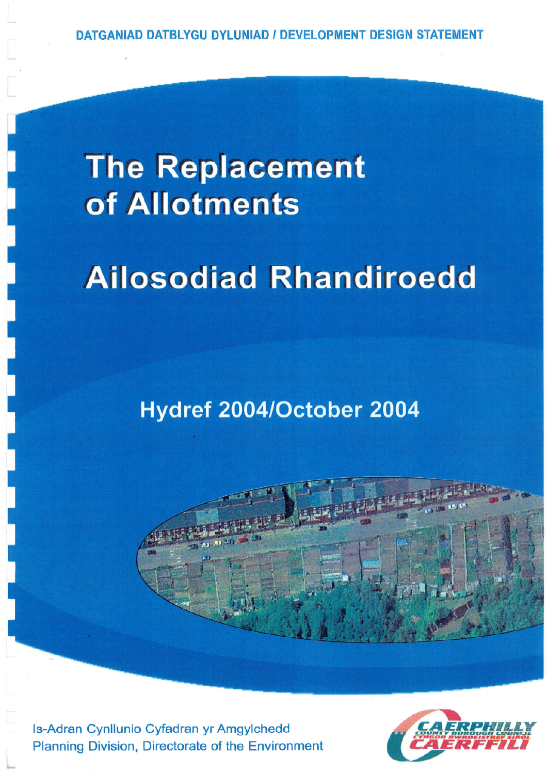# **The Replacement** of Allotments

# **Ailosodiad Rhandiroedd**

# Hydref 2004/October 2004



Is-Adran Cynllunio Cyfadran yr Amgylchedd Planning Division, Directorate of the Environment

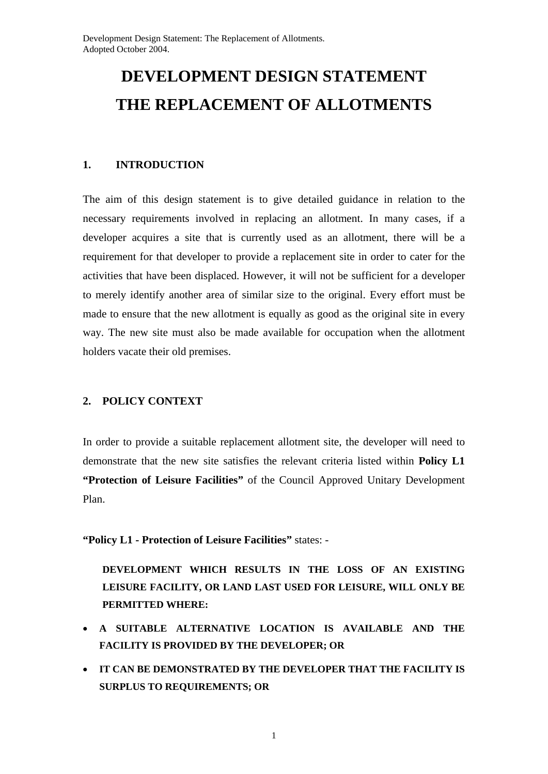## **DEVELOPMENT DESIGN STATEMENT THE REPLACEMENT OF ALLOTMENTS**

#### **1. INTRODUCTION**

The aim of this design statement is to give detailed guidance in relation to the necessary requirements involved in replacing an allotment. In many cases, if a developer acquires a site that is currently used as an allotment, there will be a requirement for that developer to provide a replacement site in order to cater for the activities that have been displaced. However, it will not be sufficient for a developer to merely identify another area of similar size to the original. Every effort must be made to ensure that the new allotment is equally as good as the original site in every way. The new site must also be made available for occupation when the allotment holders vacate their old premises.

#### **2. POLICY CONTEXT**

In order to provide a suitable replacement allotment site, the developer will need to demonstrate that the new site satisfies the relevant criteria listed within **Policy L1 "Protection of Leisure Facilities"** of the Council Approved Unitary Development Plan.

**"Policy L1 - Protection of Leisure Facilities"** states: -

 **DEVELOPMENT WHICH RESULTS IN THE LOSS OF AN EXISTING LEISURE FACILITY, OR LAND LAST USED FOR LEISURE, WILL ONLY BE PERMITTED WHERE:** 

- **A SUITABLE ALTERNATIVE LOCATION IS AVAILABLE AND THE FACILITY IS PROVIDED BY THE DEVELOPER; OR**
- **IT CAN BE DEMONSTRATED BY THE DEVELOPER THAT THE FACILITY IS SURPLUS TO REQUIREMENTS; OR**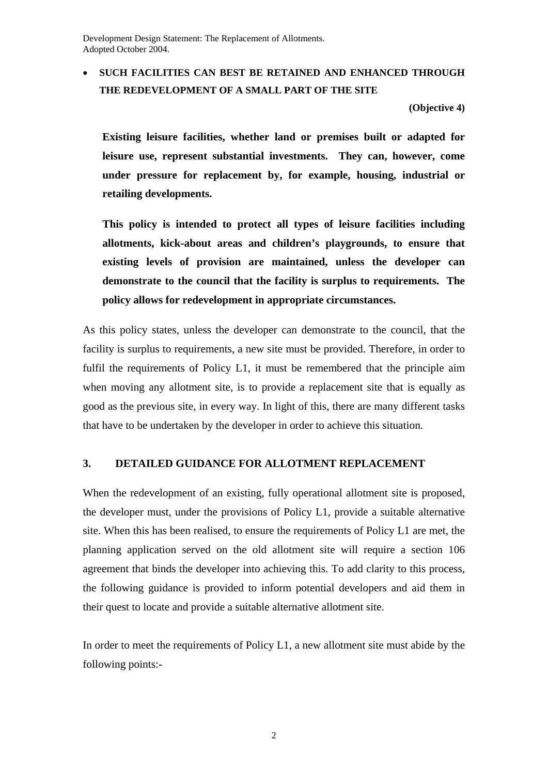Development Design Statement: The Replacement of Allotments. Adopted October 2004.

#### **SUCH FACILITIES CAN BEST BE RETAINED AND ENHANCED THROUGH THE REDEVELOPMENT OF A SMALL PART OF THE SITE**

**(Objective 4)** 

 **Existing leisure facilities, whether land or premises built or adapted for leisure use, represent substantial investments. They can, however, come under pressure for replacement by, for example, housing, industrial or retailing developments.** 

**This policy is intended to protect all types of leisure facilities including allotments, kick-about areas and children's playgrounds, to ensure that existing levels of provision are maintained, unless the developer can demonstrate to the council that the facility is surplus to requirements. The policy allows for redevelopment in appropriate circumstances.**

As this policy states, unless the developer can demonstrate to the council, that the facility is surplus to requirements, a new site must be provided. Therefore, in order to fulfil the requirements of Policy L1, it must be remembered that the principle aim when moving any allotment site, is to provide a replacement site that is equally as good as the previous site, in every way. In light of this, there are many different tasks that have to be undertaken by the developer in order to achieve this situation.

#### **3. DETAILED GUIDANCE FOR ALLOTMENT REPLACEMENT**

When the redevelopment of an existing, fully operational allotment site is proposed, the developer must, under the provisions of Policy L1, provide a suitable alternative site. When this has been realised, to ensure the requirements of Policy L1 are met, the planning application served on the old allotment site will require a section 106 agreement that binds the developer into achieving this. To add clarity to this process, the following guidance is provided to inform potential developers and aid them in their quest to locate and provide a suitable alternative allotment site.

In order to meet the requirements of Policy L1, a new allotment site must abide by the following points:-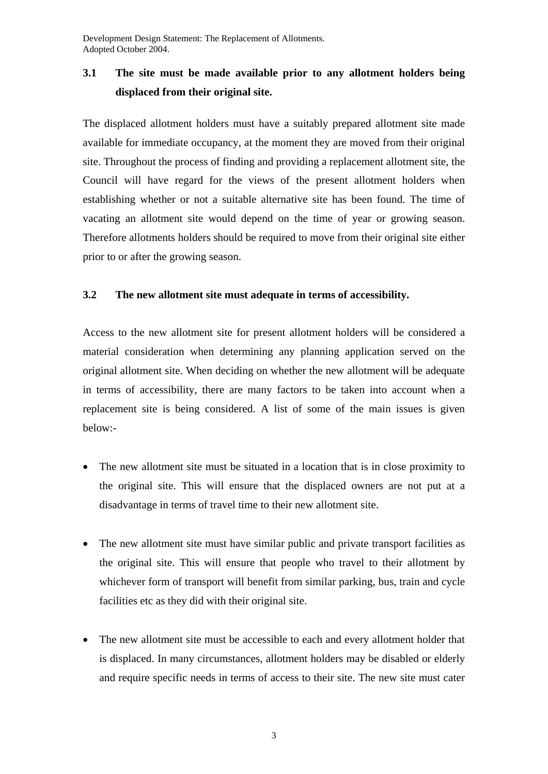## **3.1 The site must be made available prior to any allotment holders being displaced from their original site.**

The displaced allotment holders must have a suitably prepared allotment site made available for immediate occupancy, at the moment they are moved from their original site. Throughout the process of finding and providing a replacement allotment site, the Council will have regard for the views of the present allotment holders when establishing whether or not a suitable alternative site has been found. The time of vacating an allotment site would depend on the time of year or growing season. Therefore allotments holders should be required to move from their original site either prior to or after the growing season.

#### **3.2 The new allotment site must adequate in terms of accessibility.**

Access to the new allotment site for present allotment holders will be considered a material consideration when determining any planning application served on the original allotment site. When deciding on whether the new allotment will be adequate in terms of accessibility, there are many factors to be taken into account when a replacement site is being considered. A list of some of the main issues is given below:-

- The new allotment site must be situated in a location that is in close proximity to the original site. This will ensure that the displaced owners are not put at a disadvantage in terms of travel time to their new allotment site.
- The new allotment site must have similar public and private transport facilities as the original site. This will ensure that people who travel to their allotment by whichever form of transport will benefit from similar parking, bus, train and cycle facilities etc as they did with their original site.
- The new allotment site must be accessible to each and every allotment holder that is displaced. In many circumstances, allotment holders may be disabled or elderly and require specific needs in terms of access to their site. The new site must cater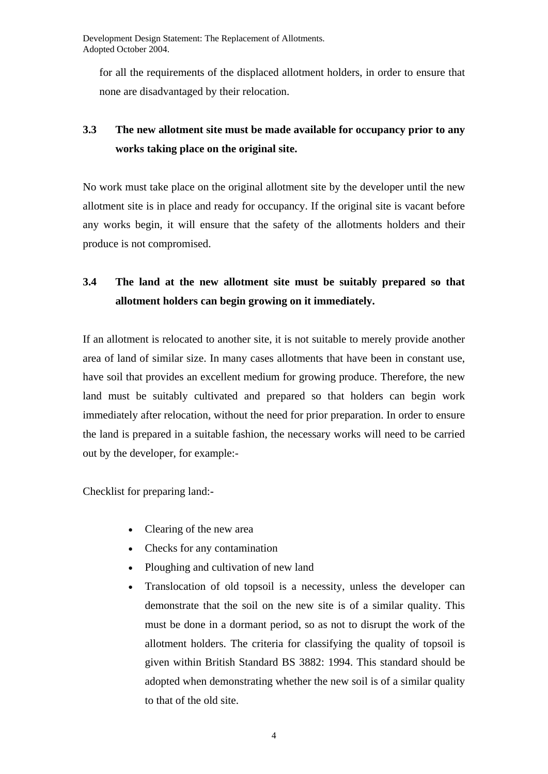for all the requirements of the displaced allotment holders, in order to ensure that none are disadvantaged by their relocation.

## **3.3 The new allotment site must be made available for occupancy prior to any works taking place on the original site.**

No work must take place on the original allotment site by the developer until the new allotment site is in place and ready for occupancy. If the original site is vacant before any works begin, it will ensure that the safety of the allotments holders and their produce is not compromised.

### **3.4 The land at the new allotment site must be suitably prepared so that allotment holders can begin growing on it immediately.**

If an allotment is relocated to another site, it is not suitable to merely provide another area of land of similar size. In many cases allotments that have been in constant use, have soil that provides an excellent medium for growing produce. Therefore, the new land must be suitably cultivated and prepared so that holders can begin work immediately after relocation, without the need for prior preparation. In order to ensure the land is prepared in a suitable fashion, the necessary works will need to be carried out by the developer, for example:-

Checklist for preparing land:-

- Clearing of the new area
- Checks for any contamination
- Ploughing and cultivation of new land
- Translocation of old topsoil is a necessity, unless the developer can demonstrate that the soil on the new site is of a similar quality. This must be done in a dormant period, so as not to disrupt the work of the allotment holders. The criteria for classifying the quality of topsoil is given within British Standard BS 3882: 1994. This standard should be adopted when demonstrating whether the new soil is of a similar quality to that of the old site.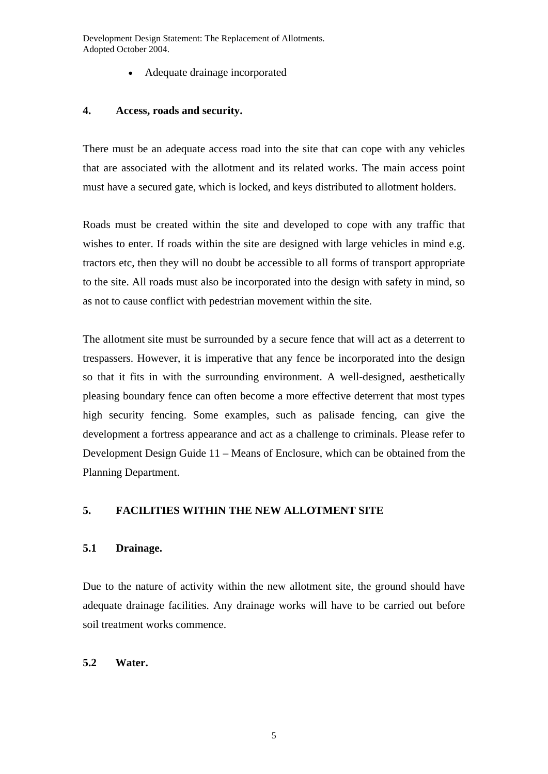Development Design Statement: The Replacement of Allotments. Adopted October 2004.

Adequate drainage incorporated

#### **4. Access, roads and security.**

There must be an adequate access road into the site that can cope with any vehicles that are associated with the allotment and its related works. The main access point must have a secured gate, which is locked, and keys distributed to allotment holders.

Roads must be created within the site and developed to cope with any traffic that wishes to enter. If roads within the site are designed with large vehicles in mind e.g. tractors etc, then they will no doubt be accessible to all forms of transport appropriate to the site. All roads must also be incorporated into the design with safety in mind, so as not to cause conflict with pedestrian movement within the site.

The allotment site must be surrounded by a secure fence that will act as a deterrent to trespassers. However, it is imperative that any fence be incorporated into the design so that it fits in with the surrounding environment. A well-designed, aesthetically pleasing boundary fence can often become a more effective deterrent that most types high security fencing. Some examples, such as palisade fencing, can give the development a fortress appearance and act as a challenge to criminals. Please refer to Development Design Guide 11 – Means of Enclosure, which can be obtained from the Planning Department.

#### **5. FACILITIES WITHIN THE NEW ALLOTMENT SITE**

#### **5.1 Drainage.**

Due to the nature of activity within the new allotment site, the ground should have adequate drainage facilities. Any drainage works will have to be carried out before soil treatment works commence.

#### **5.2 Water.**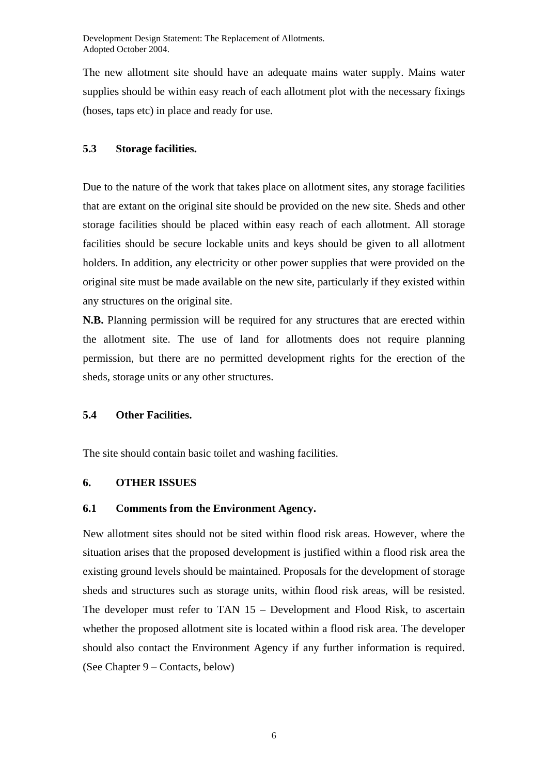The new allotment site should have an adequate mains water supply. Mains water supplies should be within easy reach of each allotment plot with the necessary fixings (hoses, taps etc) in place and ready for use.

#### **5.3 Storage facilities.**

Due to the nature of the work that takes place on allotment sites, any storage facilities that are extant on the original site should be provided on the new site. Sheds and other storage facilities should be placed within easy reach of each allotment. All storage facilities should be secure lockable units and keys should be given to all allotment holders. In addition, any electricity or other power supplies that were provided on the original site must be made available on the new site, particularly if they existed within any structures on the original site.

**N.B.** Planning permission will be required for any structures that are erected within the allotment site. The use of land for allotments does not require planning permission, but there are no permitted development rights for the erection of the sheds, storage units or any other structures.

#### **5.4 Other Facilities.**

The site should contain basic toilet and washing facilities.

#### **6. OTHER ISSUES**

#### **6.1 Comments from the Environment Agency.**

New allotment sites should not be sited within flood risk areas. However, where the situation arises that the proposed development is justified within a flood risk area the existing ground levels should be maintained. Proposals for the development of storage sheds and structures such as storage units, within flood risk areas, will be resisted. The developer must refer to TAN 15 – Development and Flood Risk, to ascertain whether the proposed allotment site is located within a flood risk area. The developer should also contact the Environment Agency if any further information is required. (See Chapter 9 – Contacts, below)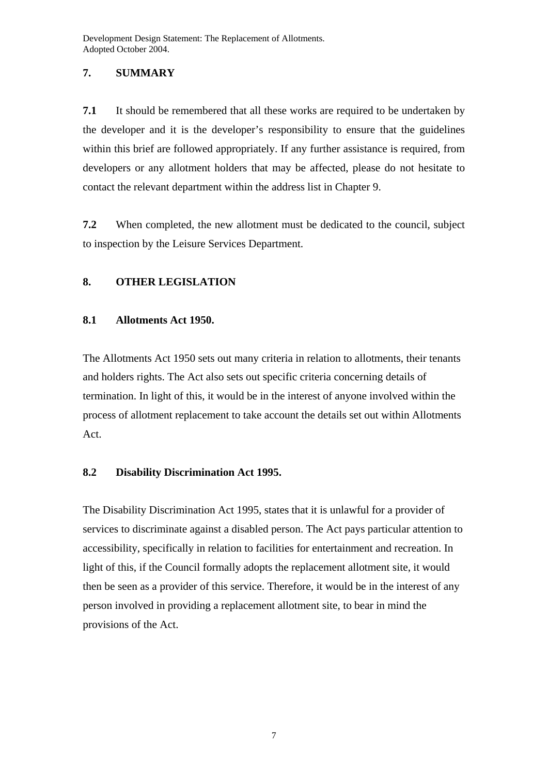#### **7. SUMMARY**

**7.1** It should be remembered that all these works are required to be undertaken by the developer and it is the developer's responsibility to ensure that the guidelines within this brief are followed appropriately. If any further assistance is required, from developers or any allotment holders that may be affected, please do not hesitate to contact the relevant department within the address list in Chapter 9.

**7.2** When completed, the new allotment must be dedicated to the council, subject to inspection by the Leisure Services Department.

#### **8. OTHER LEGISLATION**

#### **8.1 Allotments Act 1950.**

The Allotments Act 1950 sets out many criteria in relation to allotments, their tenants and holders rights. The Act also sets out specific criteria concerning details of termination. In light of this, it would be in the interest of anyone involved within the process of allotment replacement to take account the details set out within Allotments Act.

#### **8.2 Disability Discrimination Act 1995.**

The Disability Discrimination Act 1995, states that it is unlawful for a provider of services to discriminate against a disabled person. The Act pays particular attention to accessibility, specifically in relation to facilities for entertainment and recreation. In light of this, if the Council formally adopts the replacement allotment site, it would then be seen as a provider of this service. Therefore, it would be in the interest of any person involved in providing a replacement allotment site, to bear in mind the provisions of the Act.